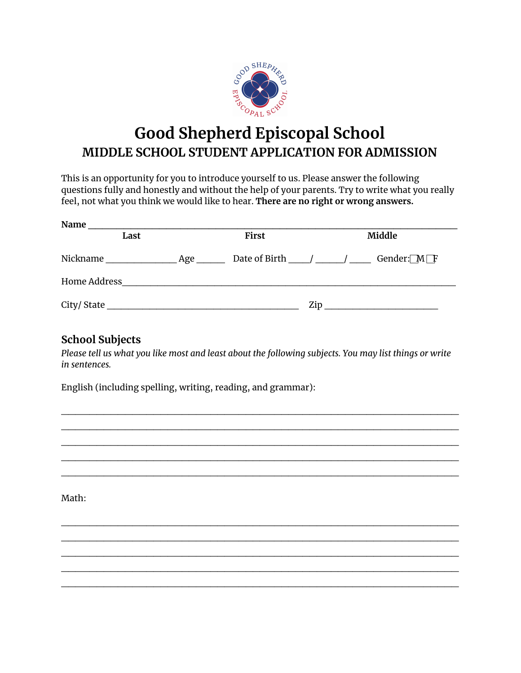

# **Good Shepherd Episcopal School MIDDLE SCHOOL STUDENT APPLICATION FOR ADMISSION**

This is an opportunity for you to introduce yourself to us. Please answer the following questions fully and honestly and without the help of your parents. Try to write what you really feel, not what you think we would like to hear. **There are no right or wrong answers.**

| Name         |     |       |                                                                 |
|--------------|-----|-------|-----------------------------------------------------------------|
| Last         |     | First | Middle                                                          |
| Nickname     | Age |       | Gender: $M \rightarrow F$<br>Date of Birth $\frac{1}{\sqrt{2}}$ |
| Home Address |     |       |                                                                 |
| City/State   |     |       | Zip                                                             |

## **School Subjects**

Please tell us what you like most and least about the following subjects. You may list things or write *in sentences.*

 $\mathcal{L}_\mathcal{L}$  , and the contribution of the contribution of the contribution of the contribution of the contribution of the contribution of the contribution of the contribution of the contribution of the contribution of  $\mathcal{L}_\mathcal{L}$  , and the contribution of the contribution of the contribution of the contribution of the contribution of the contribution of the contribution of the contribution of the contribution of the contribution of  $\mathcal{L}_\mathcal{L}$  , and the contribution of the contribution of the contribution of the contribution of the contribution of the contribution of the contribution of the contribution of the contribution of the contribution of  $\mathcal{L}_\mathcal{L}$  , and the contribution of the contribution of the contribution of the contribution of the contribution of the contribution of the contribution of the contribution of the contribution of the contribution of  $\mathcal{L}_\mathcal{L}$  , and the contribution of the contribution of the contribution of the contribution of the contribution of the contribution of the contribution of the contribution of the contribution of the contribution of

 $\mathcal{L}_\mathcal{L}$  , and the contribution of the contribution of the contribution of the contribution of the contribution of the contribution of the contribution of the contribution of the contribution of the contribution of  $\mathcal{L}_\mathcal{L}$  , and the contribution of the contribution of the contribution of the contribution of the contribution of the contribution of the contribution of the contribution of the contribution of the contribution of  $\mathcal{L}_\mathcal{L}$  , and the contribution of the contribution of the contribution of the contribution of the contribution of the contribution of the contribution of the contribution of the contribution of the contribution of  $\mathcal{L}_\mathcal{L}$  , and the contribution of the contribution of the contribution of the contribution of the contribution of the contribution of the contribution of the contribution of the contribution of the contribution of  $\mathcal{L}_\mathcal{L}$  , and the contribution of the contribution of the contribution of the contribution of the contribution of the contribution of the contribution of the contribution of the contribution of the contribution of

English (including spelling, writing, reading, and grammar):

Math: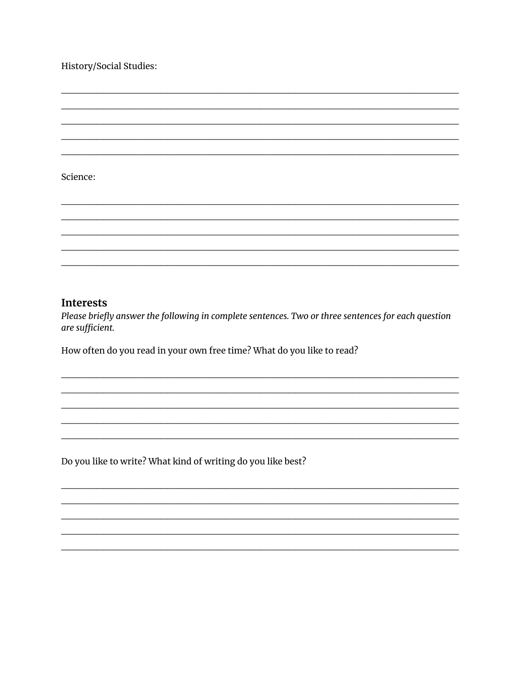### History/Social Studies:

#### Science:

#### **Interests**

Please briefly answer the following in complete sentences. Two or three sentences for each question are sufficient.

How often do you read in your own free time? What do you like to read?

Do you like to write? What kind of writing do you like best?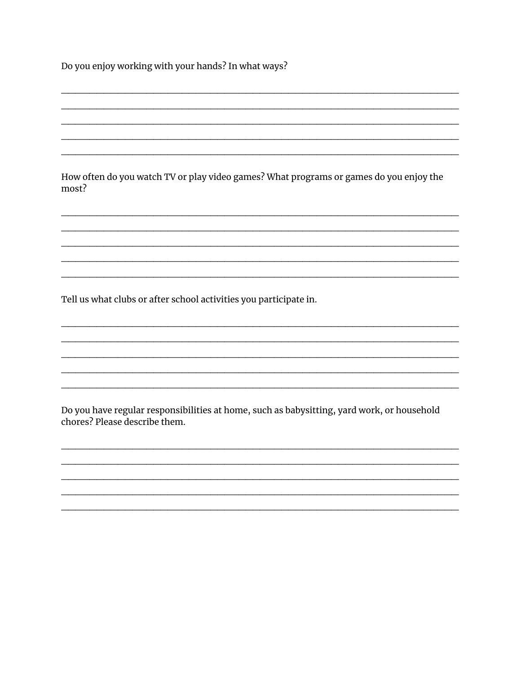Do you enjoy working with your hands? In what ways?

How often do you watch TV or play video games? What programs or games do you enjoy the most?

Tell us what clubs or after school activities you participate in.

Do you have regular responsibilities at home, such as babysitting, yard work, or household chores? Please describe them.